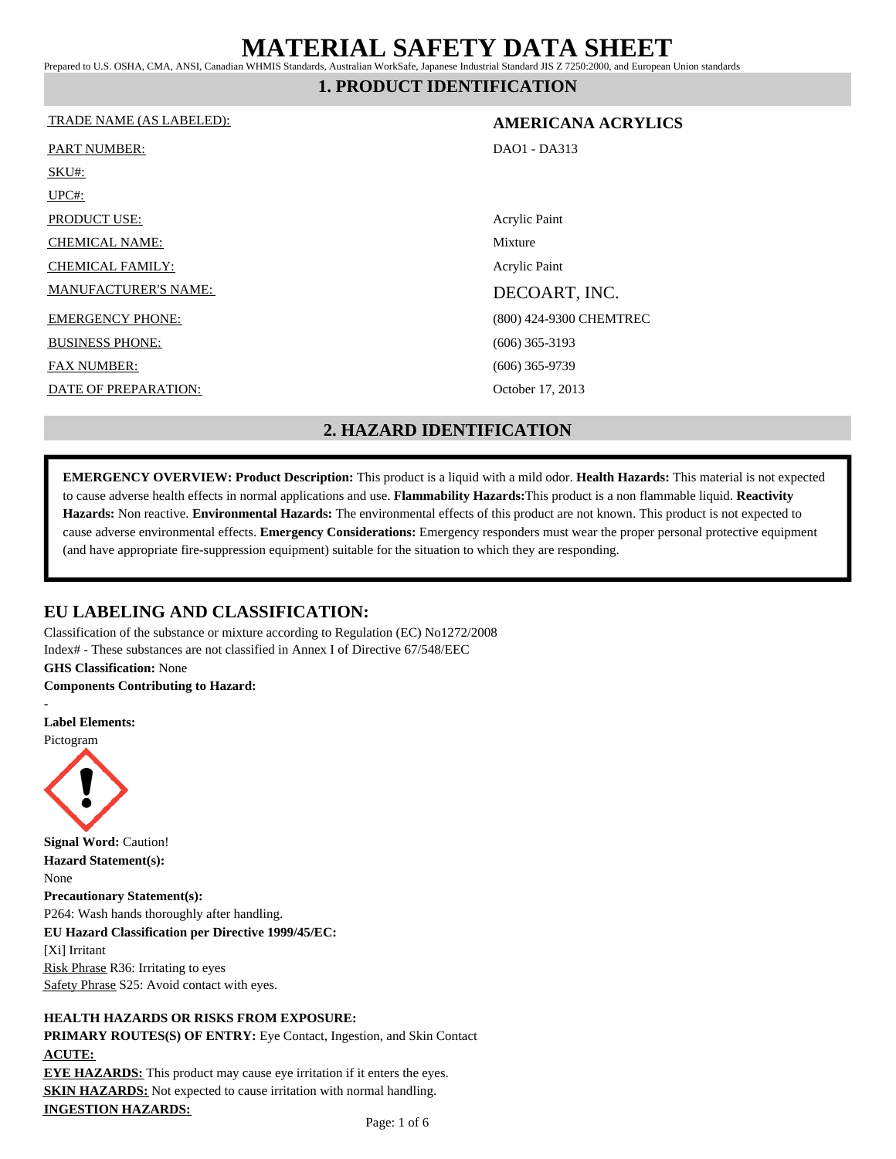Prepared to U.S. OSHA, CMA, ANSI, Canadian WHMIS Standards, Australian WorkSafe, Japanese Industrial Standard JIS Z 7250:2000, and European Union standards

**1. PRODUCT IDENTIFICATION**

#### TRADE NAME (AS LABELED): **AMERICANA ACRYLICS**

| <b>PART NUMBER:</b>         | DAO1 - DA313            |
|-----------------------------|-------------------------|
| SKU#:                       |                         |
| $UPC#$ :                    |                         |
| <b>PRODUCT USE:</b>         | Acrylic Paint           |
| <b>CHEMICAL NAME:</b>       | Mixture                 |
| <b>CHEMICAL FAMILY:</b>     | Acrylic Paint           |
| <b>MANUFACTURER'S NAME:</b> | DECOART, INC.           |
| <b>EMERGENCY PHONE:</b>     | (800) 424-9300 CHEMTREC |
| <b>BUSINESS PHONE:</b>      | $(606)$ 365-3193        |
| <b>FAX NUMBER:</b>          | $(606)$ 365-9739        |
| DATE OF PREPARATION:        | October 17, 2013        |
|                             |                         |

## **2. HAZARD IDENTIFICATION**

**EMERGENCY OVERVIEW: Product Description:** This product is a liquid with a mild odor. **Health Hazards:** This material is not expected to cause adverse health effects in normal applications and use. **Flammability Hazards:**This product is a non flammable liquid. **Reactivity Hazards:** Non reactive. **Environmental Hazards:** The environmental effects of this product are not known. This product is not expected to cause adverse environmental effects. **Emergency Considerations:** Emergency responders must wear the proper personal protective equipment (and have appropriate fire-suppression equipment) suitable for the situation to which they are responding.

### **EU LABELING AND CLASSIFICATION:**

Classification of the substance or mixture according to Regulation (EC) No1272/2008 Index# - These substances are not classified in Annex I of Directive 67/548/EEC **GHS Classification:** None

**Components Contributing to Hazard:**



#### **HEALTH HAZARDS OR RISKS FROM EXPOSURE:**

**PRIMARY ROUTES(S) OF ENTRY:** Eye Contact, Ingestion, and Skin Contact **ACUTE: EYE HAZARDS:** This product may cause eye irritation if it enters the eyes. **SKIN HAZARDS:** Not expected to cause irritation with normal handling.

**INGESTION HAZARDS:**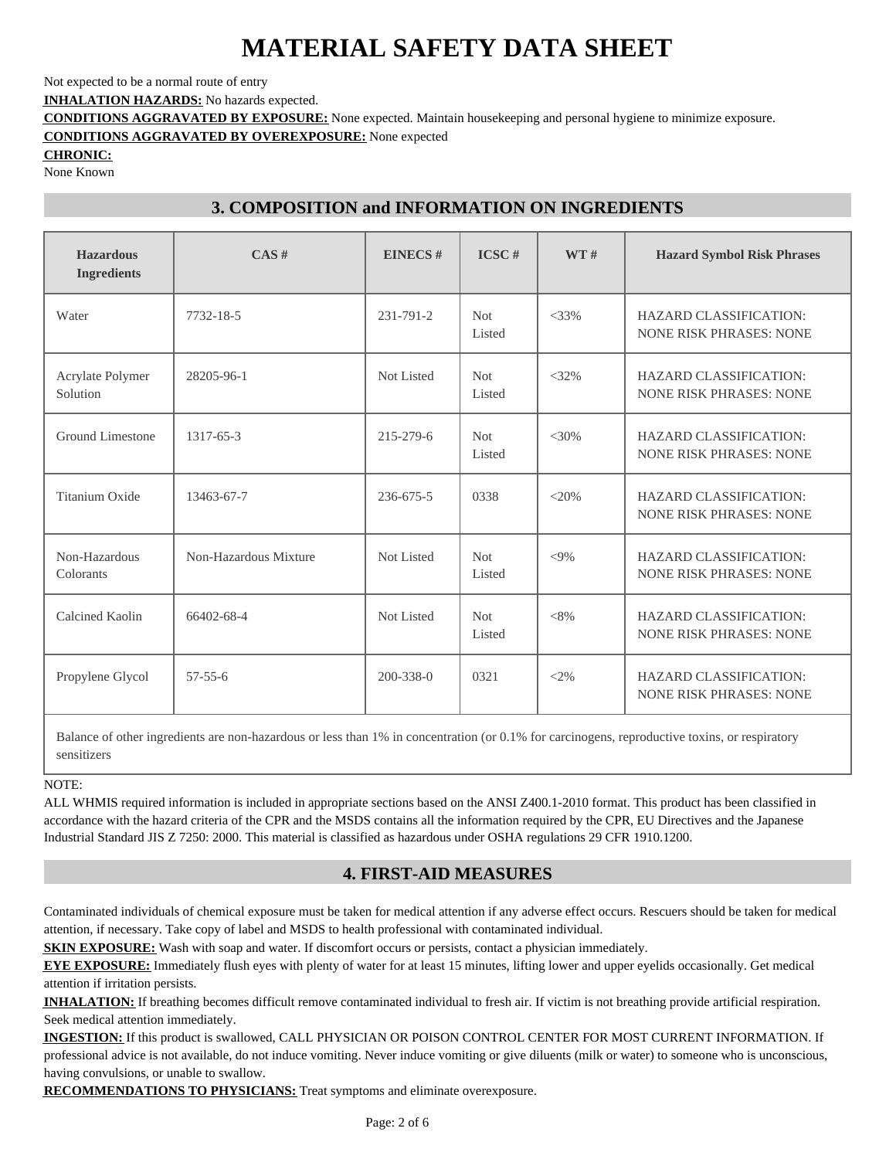Not expected to be a normal route of entry

**INHALATION HAZARDS:** No hazards expected.

**CONDITIONS AGGRAVATED BY EXPOSURE:** None expected. Maintain housekeeping and personal hygiene to minimize exposure.

**CONDITIONS AGGRAVATED BY OVEREXPOSURE:** None expected

**CHRONIC:**

None Known

## **3. COMPOSITION and INFORMATION ON INGREDIENTS**

| <b>Hazardous</b><br><b>Ingredients</b> | CAS#                  | <b>EINECS#</b>  | $\text{ICSC}$ #      | WT#     | <b>Hazard Symbol Risk Phrases</b>                               |  |
|----------------------------------------|-----------------------|-----------------|----------------------|---------|-----------------------------------------------------------------|--|
| Water                                  | 7732-18-5             | 231-791-2       | <b>Not</b><br>Listed | $<$ 33% | <b>HAZARD CLASSIFICATION:</b><br><b>NONE RISK PHRASES: NONE</b> |  |
| Acrylate Polymer<br>Solution           | 28205-96-1            | Not Listed      | <b>Not</b><br>Listed | $<32\%$ | <b>HAZARD CLASSIFICATION:</b><br><b>NONE RISK PHRASES: NONE</b> |  |
| Ground Limestone                       | 1317-65-3             | 215-279-6       | <b>Not</b><br>Listed | $<30\%$ | <b>HAZARD CLASSIFICATION:</b><br><b>NONE RISK PHRASES: NONE</b> |  |
| Titanium Oxide                         | 13463-67-7            | 236-675-5       | 0338                 | $<20\%$ | <b>HAZARD CLASSIFICATION:</b><br><b>NONE RISK PHRASES: NONE</b> |  |
| Non-Hazardous<br>Colorants             | Non-Hazardous Mixture | Not Listed      | <b>Not</b><br>Listed | $<9\%$  | <b>HAZARD CLASSIFICATION:</b><br><b>NONE RISK PHRASES: NONE</b> |  |
| Calcined Kaolin                        | 66402-68-4            | Not Listed      | <b>Not</b><br>Listed | $<8\%$  | <b>HAZARD CLASSIFICATION:</b><br><b>NONE RISK PHRASES: NONE</b> |  |
| Propylene Glycol                       | $57 - 55 - 6$         | $200 - 338 - 0$ | 0321                 | $<2\%$  | <b>HAZARD CLASSIFICATION:</b><br><b>NONE RISK PHRASES: NONE</b> |  |

Balance of other ingredients are non-hazardous or less than 1% in concentration (or 0.1% for carcinogens, reproductive toxins, or respiratory sensitizers

NOTE:

ALL WHMIS required information is included in appropriate sections based on the ANSI Z400.1-2010 format. This product has been classified in accordance with the hazard criteria of the CPR and the MSDS contains all the information required by the CPR, EU Directives and the Japanese Industrial Standard JIS Z 7250: 2000. This material is classified as hazardous under OSHA regulations 29 CFR 1910.1200.

## **4. FIRST-AID MEASURES**

Contaminated individuals of chemical exposure must be taken for medical attention if any adverse effect occurs. Rescuers should be taken for medical attention, if necessary. Take copy of label and MSDS to health professional with contaminated individual.

**SKIN EXPOSURE:** Wash with soap and water. If discomfort occurs or persists, contact a physician immediately.

**EYE EXPOSURE:** Immediately flush eyes with plenty of water for at least 15 minutes, lifting lower and upper eyelids occasionally. Get medical attention if irritation persists.

**INHALATION:** If breathing becomes difficult remove contaminated individual to fresh air. If victim is not breathing provide artificial respiration. Seek medical attention immediately.

**INGESTION:** If this product is swallowed, CALL PHYSICIAN OR POISON CONTROL CENTER FOR MOST CURRENT INFORMATION. If professional advice is not available, do not induce vomiting. Never induce vomiting or give diluents (milk or water) to someone who is unconscious, having convulsions, or unable to swallow.

**RECOMMENDATIONS TO PHYSICIANS:** Treat symptoms and eliminate overexposure.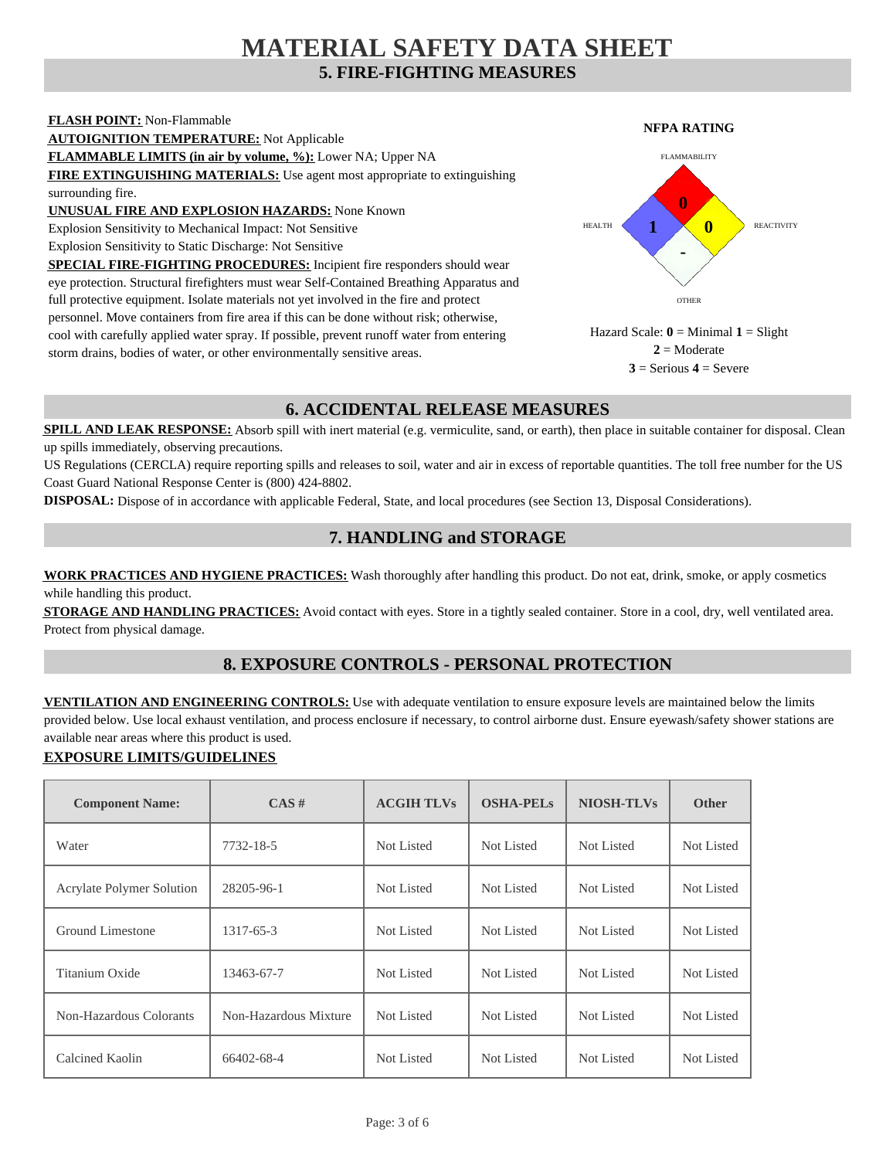## **5. FIRE-FIGHTING MEASURES MATERIAL SAFETY DATA SHEET**



## **6. ACCIDENTAL RELEASE MEASURES**

**SPILL AND LEAK RESPONSE:** Absorb spill with inert material (e.g. vermiculite, sand, or earth), then place in suitable container for disposal. Clean up spills immediately, observing precautions.

US Regulations (CERCLA) require reporting spills and releases to soil, water and air in excess of reportable quantities. The toll free number for the US Coast Guard National Response Center is (800) 424-8802.

**DISPOSAL:** Dispose of in accordance with applicable Federal, State, and local procedures (see Section 13, Disposal Considerations).

### **7. HANDLING and STORAGE**

**WORK PRACTICES AND HYGIENE PRACTICES:** Wash thoroughly after handling this product. Do not eat, drink, smoke, or apply cosmetics while handling this product.

**STORAGE AND HANDLING PRACTICES:** Avoid contact with eyes. Store in a tightly sealed container. Store in a cool, dry, well ventilated area. Protect from physical damage.

## **8. EXPOSURE CONTROLS - PERSONAL PROTECTION**

**VENTILATION AND ENGINEERING CONTROLS:** Use with adequate ventilation to ensure exposure levels are maintained below the limits provided below. Use local exhaust ventilation, and process enclosure if necessary, to control airborne dust. Ensure eyewash/safety shower stations are available near areas where this product is used.

#### **EXPOSURE LIMITS/GUIDELINES**

| <b>Component Name:</b>           | CAS#                  | <b>ACGIH TLVs</b> | <b>OSHA-PELs</b> | <b>NIOSH-TLVs</b> | Other             |
|----------------------------------|-----------------------|-------------------|------------------|-------------------|-------------------|
| Water                            | 7732-18-5             | Not Listed        | Not Listed       | Not Listed        | <b>Not Listed</b> |
| <b>Acrylate Polymer Solution</b> | 28205-96-1            | Not Listed        | Not Listed       | Not Listed        | Not Listed        |
| Ground Limestone                 | 1317-65-3             | Not Listed        | Not Listed       | Not Listed        | Not Listed        |
| Titanium Oxide                   | 13463-67-7            | Not Listed        | Not Listed       | Not Listed        | <b>Not Listed</b> |
| Non-Hazardous Colorants          | Non-Hazardous Mixture | Not Listed        | Not Listed       | Not Listed        | Not Listed        |
| Calcined Kaolin                  | 66402-68-4            | Not Listed        | Not Listed       | Not Listed        | Not Listed        |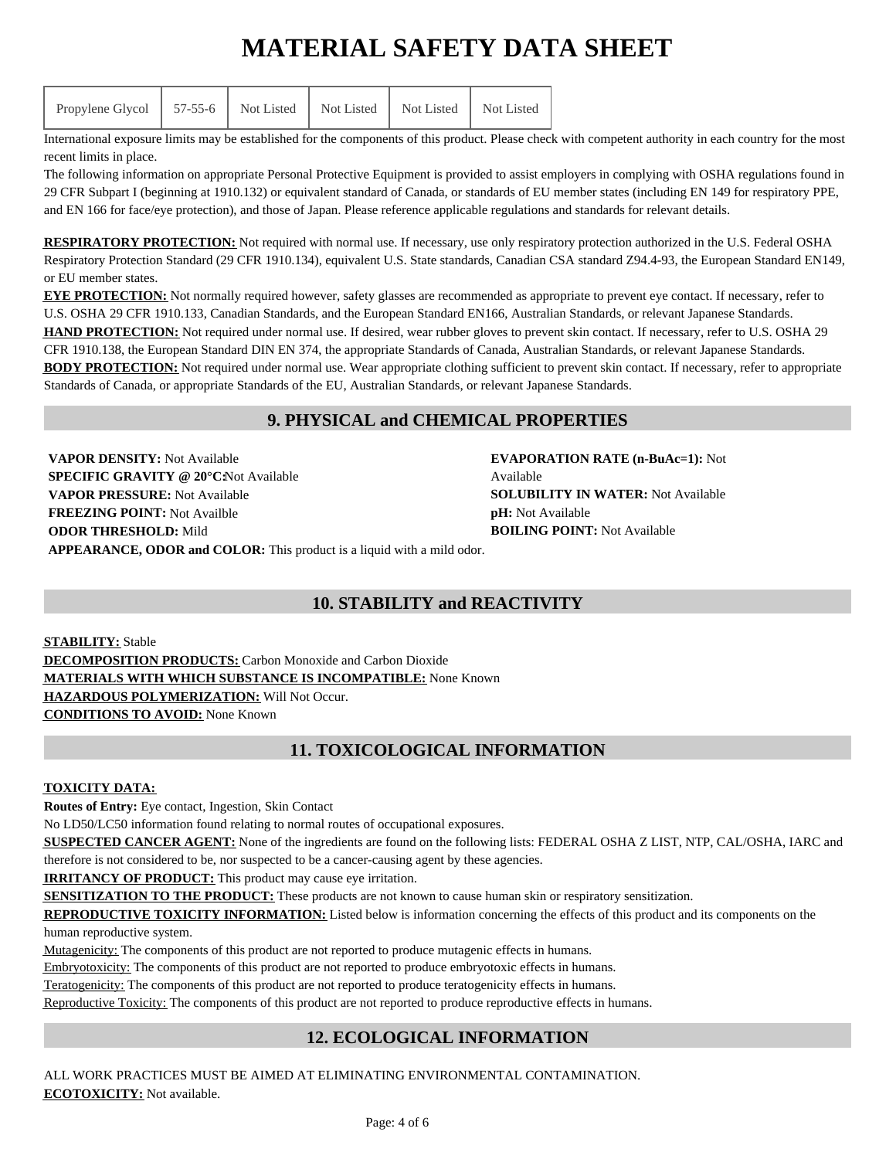International exposure limits may be established for the components of this product. Please check with competent authority in each country for the most recent limits in place.

The following information on appropriate Personal Protective Equipment is provided to assist employers in complying with OSHA regulations found in 29 CFR Subpart I (beginning at 1910.132) or equivalent standard of Canada, or standards of EU member states (including EN 149 for respiratory PPE, and EN 166 for face/eye protection), and those of Japan. Please reference applicable regulations and standards for relevant details.

**RESPIRATORY PROTECTION:** Not required with normal use. If necessary, use only respiratory protection authorized in the U.S. Federal OSHA Respiratory Protection Standard (29 CFR 1910.134), equivalent U.S. State standards, Canadian CSA standard Z94.4-93, the European Standard EN149, or EU member states.

**EYE PROTECTION:** Not normally required however, safety glasses are recommended as appropriate to prevent eye contact. If necessary, refer to U.S. OSHA 29 CFR 1910.133, Canadian Standards, and the European Standard EN166, Australian Standards, or relevant Japanese Standards. HAND PROTECTION: Not required under normal use. If desired, wear rubber gloves to prevent skin contact. If necessary, refer to U.S. OSHA 29 CFR 1910.138, the European Standard DIN EN 374, the appropriate Standards of Canada, Australian Standards, or relevant Japanese Standards. **BODY PROTECTION:** Not required under normal use. Wear appropriate clothing sufficient to prevent skin contact. If necessary, refer to appropriate Standards of Canada, or appropriate Standards of the EU, Australian Standards, or relevant Japanese Standards.

## **9. PHYSICAL and CHEMICAL PROPERTIES**

**VAPOR DENSITY:** Not Available **SPECIFIC GRAVITY @ 20°C: Not Available VAPOR PRESSURE:** Not Available **FREEZING POINT:** Not Availble **ODOR THRESHOLD:** Mild **APPEARANCE, ODOR and COLOR:** This product is a liquid with a mild odor.

**EVAPORATION RATE (n-BuAc=1):** Not Available **SOLUBILITY IN WATER:** Not Available **pH:** Not Available **BOILING POINT:** Not Available

## **10. STABILITY and REACTIVITY**

**STABILITY:** Stable **DECOMPOSITION PRODUCTS:** Carbon Monoxide and Carbon Dioxide **MATERIALS WITH WHICH SUBSTANCE IS INCOMPATIBLE:** None Known **HAZARDOUS POLYMERIZATION:** Will Not Occur. **CONDITIONS TO AVOID:** None Known

## **11. TOXICOLOGICAL INFORMATION**

#### **TOXICITY DATA:**

**Routes of Entry:** Eye contact, Ingestion, Skin Contact

No LD50/LC50 information found relating to normal routes of occupational exposures.

**SUSPECTED CANCER AGENT:** None of the ingredients are found on the following lists: FEDERAL OSHA Z LIST, NTP, CAL/OSHA, IARC and

therefore is not considered to be, nor suspected to be a cancer-causing agent by these agencies.

**IRRITANCY OF PRODUCT:** This product may cause eye irritation.

**SENSITIZATION TO THE PRODUCT:** These products are not known to cause human skin or respiratory sensitization.

**REPRODUCTIVE TOXICITY INFORMATION:** Listed below is information concerning the effects of this product and its components on the human reproductive system.

Mutagenicity: The components of this product are not reported to produce mutagenic effects in humans.

Embryotoxicity: The components of this product are not reported to produce embryotoxic effects in humans.

Teratogenicity: The components of this product are not reported to produce teratogenicity effects in humans.

Reproductive Toxicity: The components of this product are not reported to produce reproductive effects in humans.

## **12. ECOLOGICAL INFORMATION**

ALL WORK PRACTICES MUST BE AIMED AT ELIMINATING ENVIRONMENTAL CONTAMINATION. **ECOTOXICITY:** Not available.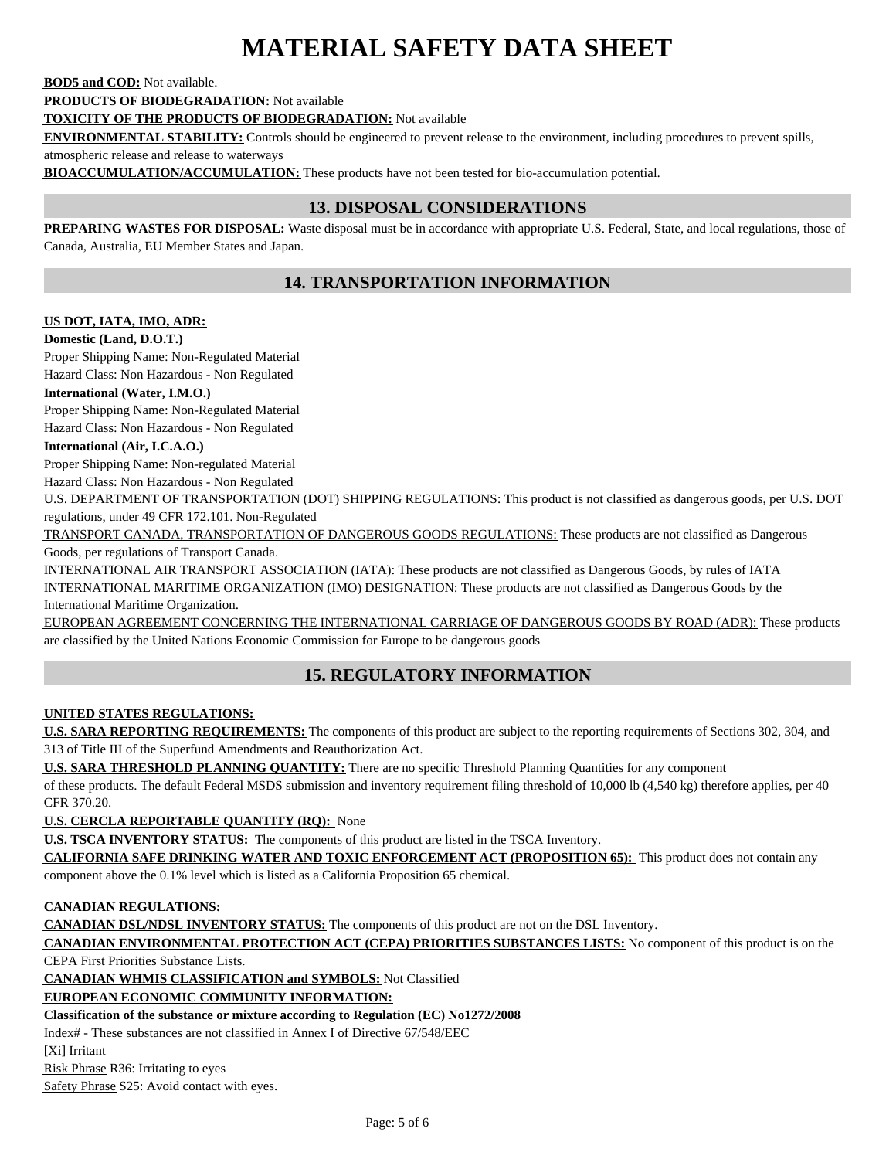#### **BOD5 and COD:** Not available.

**PRODUCTS OF BIODEGRADATION:** Not available

**TOXICITY OF THE PRODUCTS OF BIODEGRADATION:** Not available

**ENVIRONMENTAL STABILITY:** Controls should be engineered to prevent release to the environment, including procedures to prevent spills,

atmospheric release and release to waterways

**BIOACCUMULATION/ACCUMULATION:** These products have not been tested for bio-accumulation potential.

## **13. DISPOSAL CONSIDERATIONS**

**PREPARING WASTES FOR DISPOSAL:** Waste disposal must be in accordance with appropriate U.S. Federal, State, and local regulations, those of Canada, Australia, EU Member States and Japan.

## **14. TRANSPORTATION INFORMATION**

#### **US DOT, IATA, IMO, ADR:**

#### **Domestic (Land, D.O.T.)**

Proper Shipping Name: Non-Regulated Material Hazard Class: Non Hazardous - Non Regulated

#### **International (Water, I.M.O.)**

Proper Shipping Name: Non-Regulated Material Hazard Class: Non Hazardous - Non Regulated

#### **International (Air, I.C.A.O.)**

Proper Shipping Name: Non-regulated Material

Hazard Class: Non Hazardous - Non Regulated

U.S. DEPARTMENT OF TRANSPORTATION (DOT) SHIPPING REGULATIONS: This product is not classified as dangerous goods, per U.S. DOT regulations, under 49 CFR 172.101. Non-Regulated

TRANSPORT CANADA, TRANSPORTATION OF DANGEROUS GOODS REGULATIONS: These products are not classified as Dangerous Goods, per regulations of Transport Canada.

INTERNATIONAL AIR TRANSPORT ASSOCIATION (IATA): These products are not classified as Dangerous Goods, by rules of IATA INTERNATIONAL MARITIME ORGANIZATION (IMO) DESIGNATION: These products are not classified as Dangerous Goods by the International Maritime Organization.

EUROPEAN AGREEMENT CONCERNING THE INTERNATIONAL CARRIAGE OF DANGEROUS GOODS BY ROAD (ADR): These products are classified by the United Nations Economic Commission for Europe to be dangerous goods

## **15. REGULATORY INFORMATION**

#### **UNITED STATES REGULATIONS:**

**U.S. SARA REPORTING REQUIREMENTS:** The components of this product are subject to the reporting requirements of Sections 302, 304, and 313 of Title III of the Superfund Amendments and Reauthorization Act.

**U.S. SARA THRESHOLD PLANNING QUANTITY:** There are no specific Threshold Planning Quantities for any component

of these products. The default Federal MSDS submission and inventory requirement filing threshold of 10,000 lb (4,540 kg) therefore applies, per 40 CFR 370.20.

**U.S. CERCLA REPORTABLE QUANTITY (RQ):** None

**U.S. TSCA INVENTORY STATUS:** The components of this product are listed in the TSCA Inventory.

**CALIFORNIA SAFE DRINKING WATER AND TOXIC ENFORCEMENT ACT (PROPOSITION 65):** This product does not contain any component above the 0.1% level which is listed as a California Proposition 65 chemical.

#### **CANADIAN REGULATIONS:**

**CANADIAN DSL/NDSL INVENTORY STATUS:** The components of this product are not on the DSL Inventory.

**CANADIAN ENVIRONMENTAL PROTECTION ACT (CEPA) PRIORITIES SUBSTANCES LISTS:** No component of this product is on the

CEPA First Priorities Substance Lists.

**CANADIAN WHMIS CLASSIFICATION and SYMBOLS:** Not Classified

### **EUROPEAN ECONOMIC COMMUNITY INFORMATION:**

### **Classification of the substance or mixture according to Regulation (EC) No1272/2008**

Index# - These substances are not classified in Annex I of Directive 67/548/EEC

[Xi] Irritant

Risk Phrase R36: Irritating to eyes

Safety Phrase S25: Avoid contact with eyes.